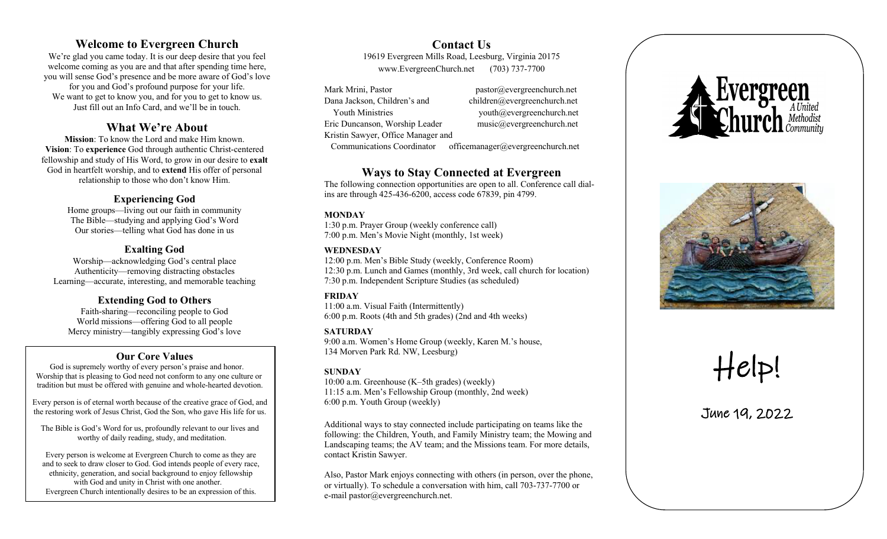# **Welcome to Evergreen Church**

We're glad you came today. It is our deep desire that you feel welcome coming as you are and that after spending time here, you will sense God's presence and be more aware of God's love for you and God's profound purpose for your life. We want to get to know you, and for you to get to know us. Just fill out an Info Card, and we'll be in touch.

# **What We're About**

**Mission**: To know the Lord and make Him known. **Vision**: To **experience** God through authentic Christ -centered fellowship and study of His Word, to grow in our desire to **exalt** God in heartfelt worship , and to **extend** His offer of personal relationship to those who don't know Him.

#### **Experiencing God**

Home groups —living out our faith in community The Bible —studying and applying God's Word Our stories —telling what God has done in us

### **Exalting God**

Worship —acknowledging God's central place Authenticity—removing distracting obstacles Learning —accurate, interesting, and memorable teaching

#### **Extending God to Others**

Faith -sharing —reconciling people to God World missions —offering God to all people Mercy ministry—tangibly expressing God's love

### **Our Core Values**

 God is supremely worthy of every person's praise and honor. Worship that is pleasing to God need not conform to any one culture or tradition but must be offered with genuine and whole -hearted devotion.

 Every person is of eternal worth because of the creative grace of God, and the restoring work of Jesus Christ, God the Son, who gave His life for us.

 The Bible is God's Word for us, profoundly relevant to our lives and worthy of daily reading, study, and meditation.

 Every person is welcome at Evergreen Church to come as they are and to seek to draw closer to God. God intends people of every race, ethnicity, generation , and social background to enjoy fellowship with God and unity in Christ with one another. Evergreen Church intentionally desires to be an expression of this .

**Contact Us** 19619 Evergreen Mills Road, Leesburg , Virginia 20175 www.EvergreenChurch.net (703) 737 -7700

Mark Mrini, Pastor Dana Jackson, Children's and children@evergreenchurch.net Youth Ministries youth@evergreenchurch.net Eric Duncanson, Worship Leader music@evergreenchurch.net Kris tin Sawyer, Office Manage r and

pastor@evergreenchurch.net

Communications Coordinator officemanager@evergreenchurch.net

# **Ways to Stay Connected at Evergreen**

The following connection opportunities are open to al l. Conference call dial ins are through 425 -436 -6200, access code 67839, pin 4799.

#### **MONDAY**

1:30 p.m. Prayer Group (weekly conference call) 7:00 p.m. Men 's Movie Night (monthly, 1st week)

#### **WEDNESDAY**

12:00 p.m. Men's Bible Study (weekly, Conference Room) 12:30 p.m. Lunch and Games (monthly, 3rd week, call church for location ) 7:30 p.m. Independent Scripture Studies (as s cheduled)

#### **FRIDAY**

11:00 a.m. Visual Faith (Intermittently) 6:00 p.m. Roots (4th and 5th grades) (2nd and 4th weeks)

#### **SATURDAY**

9:00 a.m. Women's Home Group (weekly, Karen M.'s house, 134 Morven Park Rd. NW, Leesburg )

#### **SUNDAY**

10 :00 a.m. Greenhouse (K– 5th gr a des) (weekly) 11:15 a.m. Men's Fellowship Group (monthly, 2nd week) 6:00 p.m. Youth Group (weekly )

Additional ways to stay connected include participating on teams like the following: the Children, Y outh, and Family Ministry team; the Mowing and Landscaping teams; the AV team; and the Missions team. For more details, contact Kristin Sawyer.

Also, Pastor Mark enjoys connecting with others (in person, over the phone, or virtually). To schedule a conversation with him, call 703 - 737 -7700 or e -mail pastor@evergreenchurch.net.





# Help!

June 19, 2022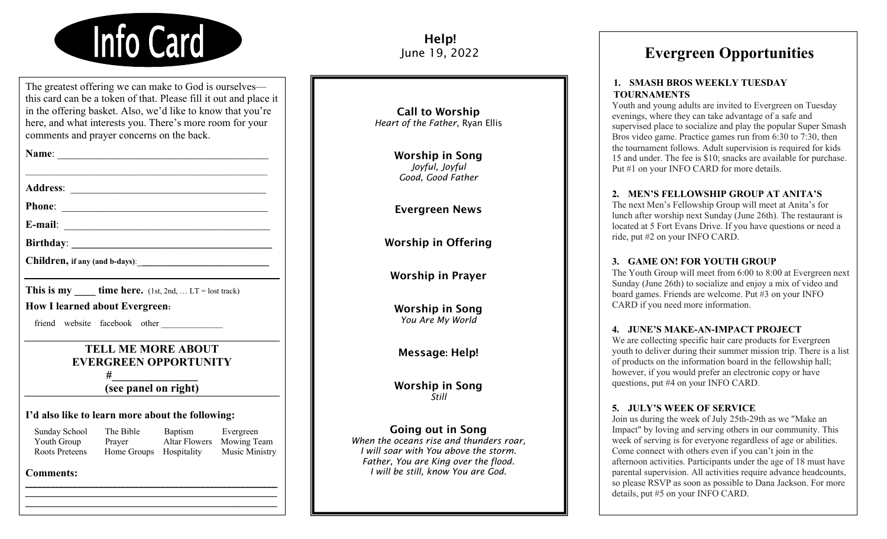

The greatest offering we can make to God is ourselves this card can be a token of that. Please fill it out and place it in the offering basket. Also, we'd like to know that you're here, and what interests you. There's more room for your comments and prayer concerns on the back.

 $\mathcal{L}_\text{max}$  and  $\mathcal{L}_\text{max}$  and  $\mathcal{L}_\text{max}$  and  $\mathcal{L}_\text{max}$  and  $\mathcal{L}_\text{max}$ 

**Address**: \_\_\_\_\_\_\_\_\_\_\_\_\_\_\_\_\_\_\_\_\_\_\_\_\_\_\_\_\_\_\_\_\_\_\_\_\_

**Phone**: \_\_\_\_\_\_\_\_\_\_\_\_\_\_\_\_\_\_\_\_\_\_\_\_\_\_\_\_\_\_\_\_\_\_\_\_\_\_\_

**E-mail**: \_\_\_\_\_\_\_\_\_\_\_\_\_\_\_\_\_\_\_\_\_\_\_\_\_\_\_\_\_\_\_\_\_\_\_\_\_\_\_

**Birthday**: **\_\_\_\_\_\_\_\_\_\_\_\_\_\_\_\_\_\_\_\_\_\_\_\_\_\_\_\_\_\_\_\_\_\_\_\_\_\_**

Children, if any (and b-days):

**This is my time here.</math> (1st, 2nd, ... LT = lost track)** 

**How I learned about Evergreen:**

friend website facebook other

# **TELL ME MORE ABOUT EVERGREEN OPPORTUNITY #\_\_\_\_\_\_\_\_\_\_\_\_\_\_\_**

**(see panel on right)**

#### **I'd also like to learn more about the following:**

| Sunday School  | The Bible               | Baptism | Evergreen                 |
|----------------|-------------------------|---------|---------------------------|
| Youth Group    | Prayer                  |         | Altar Flowers Mowing Team |
| Roots Preteens | Home Groups Hospitality |         | Music Ministry            |

\_\_\_\_\_\_\_\_\_\_\_\_\_\_\_\_\_\_\_\_\_\_\_\_\_\_\_\_\_\_\_\_\_\_\_\_\_\_\_\_\_\_\_\_\_\_\_\_\_\_\_\_\_\_\_\_\_ \_\_\_\_\_\_\_\_\_\_\_\_\_\_\_\_\_\_\_\_\_\_\_\_\_\_\_\_\_\_\_\_\_\_\_\_\_\_\_\_\_\_\_\_\_\_\_\_\_\_\_\_\_\_\_\_\_ \_\_\_\_\_\_\_\_\_\_\_\_\_\_\_\_\_\_\_\_\_\_\_\_\_\_\_\_\_\_\_\_\_\_\_\_\_\_\_\_\_\_\_\_\_\_\_\_\_\_\_\_\_\_\_\_\_

### **Comments:**

Help! June 19, 2022

Call to Worship *Heart of the Father*, Ryan Ellis

> Worship in Song *Joyful, Joyful Good, Good Father*

Evergreen News

Worship in Offering

Worship in Prayer

Worship in Song *You Are My World*

Message: Help!

Worship in Song *Still*

### Going out in Song

*When the oceans rise and thunders roar, I will soar with You above the storm. Father, You are King over the flood. I will be still, know You are God.*

# **Evergreen Opportunities**

#### **1. SMASH BROS WEEKLY TUESDAY TOURNAMENTS**

Youth and young adults are invited to Evergreen on Tuesday evenings, where they can take advantage of a safe and supervised place to socialize and play the popular Super Smash Bros video game. Practice games run from 6:30 to 7:30, then the tournament follows. Adult supervision is required for kids 15 and under. The fee is \$10; snacks are available for purchase. Put #1 on your INFO CARD for more details.

#### **2. MEN'S FELLOWSHIP GROUP AT ANITA'S**

The next Men's Fellowship Group will meet at Anita's for lunch after worship next Sunday (June 26th). The restaurant is located at 5 Fort Evans Drive. If you have questions or need a ride, put #2 on your INFO CARD.

#### **3. GAME ON! FOR YOUTH GROUP**

The Youth Group will meet from 6:00 to 8:00 at Evergreen next Sunday (June 26th) to socialize and enjoy a mix of video and board games. Friends are welcome. Put #3 on your INFO CARD if you need more information.

#### **4. JUNE'S MAKE-AN-IMPACT PROJECT**

We are collecting specific hair care products for Evergreen youth to deliver during their summer mission trip. There is a list of products on the information board in the fellowship hall; however, if you would prefer an electronic copy or have questions, put #4 on your INFO CARD.

#### **5. JULY'S WEEK OF SERVICE**

Join us during the week of July 25th-29th as we "Make an Impact" by loving and serving others in our community. This week of serving is for everyone regardless of age or abilities. Come connect with others even if you can't join in the afternoon activities. Participants under the age of 18 must have parental supervision. All activities require advance headcounts, so please RSVP as soon as possible to Dana Jackson. For more details, put #5 on your INFO CARD.